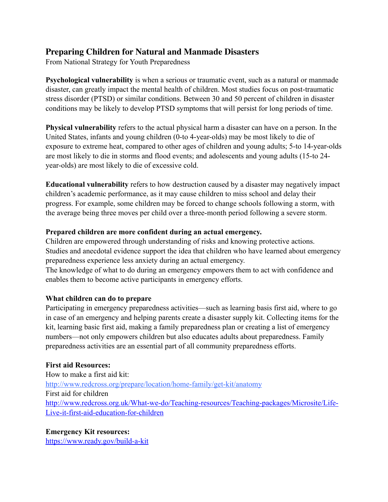# **Preparing Children for Natural and Manmade Disasters**

From National Strategy for Youth Preparedness

**Psychological vulnerability** is when a serious or traumatic event, such as a natural or manmade disaster, can greatly impact the mental health of children. Most studies focus on post-traumatic stress disorder (PTSD) or similar conditions. Between 30 and 50 percent of children in disaster conditions may be likely to develop PTSD symptoms that will persist for long periods of time.

**Physical vulnerability** refers to the actual physical harm a disaster can have on a person. In the United States, infants and young children (0-to 4-year-olds) may be most likely to die of exposure to extreme heat, compared to other ages of children and young adults; 5-to 14-year-olds are most likely to die in storms and flood events; and adolescents and young adults (15-to 24 year-olds) are most likely to die of excessive cold.

**Educational vulnerability** refers to how destruction caused by a disaster may negatively impact children's academic performance, as it may cause children to miss school and delay their progress. For example, some children may be forced to change schools following a storm, with the average being three moves per child over a three-month period following a severe storm.

### **Prepared children are more confident during an actual emergency.**

Children are empowered through understanding of risks and knowing protective actions. Studies and anecdotal evidence support the idea that children who have learned about emergency preparedness experience less anxiety during an actual emergency.

The knowledge of what to do during an emergency empowers them to act with confidence and enables them to become active participants in emergency efforts.

#### **What children can do to prepare**

Participating in emergency preparedness activities—such as learning basis first aid, where to go in case of an emergency and helping parents create a disaster supply kit. Collecting items for the kit, learning basic first aid, making a family preparedness plan or creating a list of emergency numbers—not only empowers children but also educates adults about preparedness. Family preparedness activities are an essential part of all community preparedness efforts.

#### **First aid Resources:**

How to make a first aid kit: <http://www.redcross.org/prepare/location/home-family/get-kit/anatomy> First aid for children [http://www.redcross.org.uk/What-we-do/Teaching-resources/Teaching-packages/Microsite/Life-](http://www.redcross.org.uk/What-we-do/Teaching-resources/Teaching-packages/Microsite/Life-Live-it-first-aid-education-for-children)[Live-it-first-aid-education-for-children](http://www.redcross.org.uk/What-we-do/Teaching-resources/Teaching-packages/Microsite/Life-Live-it-first-aid-education-for-children)

## **Emergency Kit resources:**

<https://www.ready.gov/build-a-kit>